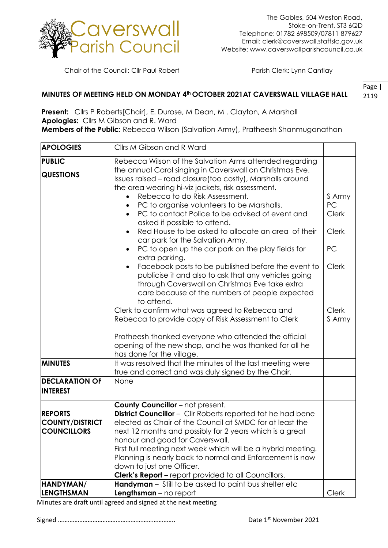

Chair of the Council: Cllr Paul Robert Parish Clerk: Lynn Cantlay

## **MINUTES OF MEETING HELD ON MONDAY 4th OCTOBER 2021AT CAVERSWALL VILLAGE HALL**

Page | 2119

**Present:** Cllrs P Roberts[Chair], E. Durose, M Dean, M . Clayton, A Marshall **Apologies:** Cllrs M Gibson and R. Ward **Members of the Public:** Rebecca Wilson (Salvation Army), Pratheesh Shanmuganathan

| <b>APOLOGIES</b>                                               | Cllrs M Gibson and R Ward                                                                                                                                                                                                                                                                                                                                                                                                                                                                 |                                              |
|----------------------------------------------------------------|-------------------------------------------------------------------------------------------------------------------------------------------------------------------------------------------------------------------------------------------------------------------------------------------------------------------------------------------------------------------------------------------------------------------------------------------------------------------------------------------|----------------------------------------------|
| PUBLIC<br><b>QUESTIONS</b>                                     | Rebecca Wilson of the Salvation Arms attended regarding<br>the annual Carol singing in Caverswall on Christmas Eve.<br>Issues raised - road closure(too costly), Marshalls around<br>the area wearing hi-viz jackets, risk assessment.                                                                                                                                                                                                                                                    |                                              |
|                                                                | Rebecca to do Risk Assessment.<br>PC to organise volunteers to be Marshalls.<br>PC to contact Police to be advised of event and<br>asked if possible to attend.<br>Red House to be asked to allocate an area of their                                                                                                                                                                                                                                                                     | S Army<br>PC<br><b>Clerk</b><br><b>Clerk</b> |
|                                                                | car park for the Salvation Army.<br>PC to open up the car park on the play fields for<br>extra parking.                                                                                                                                                                                                                                                                                                                                                                                   | PC                                           |
|                                                                | Facebook posts to be published before the event to<br>publicise it and also to ask that any vehicles going<br>through Caverswall on Christmas Eve take extra<br>care because of the numbers of people expected<br>to attend.                                                                                                                                                                                                                                                              | <b>Clerk</b>                                 |
|                                                                | Clerk to confirm what was agreed to Rebecca and<br>Rebecca to provide copy of Risk Assessment to Clerk                                                                                                                                                                                                                                                                                                                                                                                    | <b>Clerk</b><br>S Army                       |
|                                                                | Pratheesh thanked everyone who attended the official<br>opening of the new shop, and he was thanked for all he<br>has done for the village.                                                                                                                                                                                                                                                                                                                                               |                                              |
| <b>MINUTES</b>                                                 | It was resolved that the minutes of the last meeting were<br>true and correct and was duly signed by the Chair.                                                                                                                                                                                                                                                                                                                                                                           |                                              |
| <b>DECLARATION OF</b><br><b>INTEREST</b>                       | None                                                                                                                                                                                                                                                                                                                                                                                                                                                                                      |                                              |
| <b>REPORTS</b><br><b>COUNTY/DISTRICT</b><br><b>COUNCILLORS</b> | <b>County Councillor - not present.</b><br><b>District Councillor</b> - Cllr Roberts reported tat he had bene<br>elected as Chair of the Council at SMDC for at least the<br>next 12 months and possibly for 2 years which is a great<br>honour and good for Caverswall.<br>First full meeting next week which will be a hybrid meeting.<br>Planning is nearly back to normal and Enforcement is now<br>down to just one Officer.<br>Clerk's Report - report provided to all Councillors. |                                              |
| HANDYMAN/<br><b>LENGTHSMAN</b>                                 | Handyman - Still to be asked to paint bus shelter etc<br><b>Lengthsman</b> $-$ no report                                                                                                                                                                                                                                                                                                                                                                                                  | <b>Clerk</b>                                 |

Minutes are draft until agreed and signed at the next meeting

Signed …………………………………………………………….. Date 1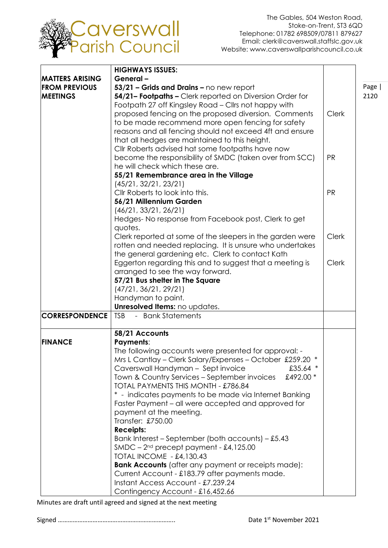

| <b>HIGHWAYS ISSUES:</b>                                                             |
|-------------------------------------------------------------------------------------|
| <b>MATTERS ARISING</b><br>General-                                                  |
| <b>FROM PREVIOUS</b><br>53/21 - Grids and Drains - no new report<br>Page            |
| 54/21- Footpaths - Clerk reported on Diversion Order for<br><b>MEETINGS</b><br>2120 |
| Footpath 27 off Kingsley Road - Cllrs not happy with                                |
| proposed fencing on the proposed diversion. Comments<br><b>Clerk</b>                |
| to be made recommend more open fencing for safety                                   |
| reasons and all fencing should not exceed 4ft and ensure                            |
| that all hedges are maintained to this height.                                      |
|                                                                                     |
| Cllr Roberts advised hat some footpaths have now                                    |
| become the responsibility of SMDC (taken over from SCC)<br><b>PR</b>                |
| he will check which these are.                                                      |
| 55/21 Remembrance area in the Village                                               |
| (45/21, 32/21, 23/21)                                                               |
| Cllr Roberts to look into this.<br><b>PR</b>                                        |
| 56/21 Millennium Garden                                                             |
| (46/21, 33/21, 26/21)                                                               |
| Hedges-No response from Facebook post, Clerk to get                                 |
| quotes.                                                                             |
| Clerk reported at some of the sleepers in the garden were<br><b>Clerk</b>           |
| rotten and needed replacing. It is unsure who undertakes                            |
| the general gardening etc. Clerk to contact Kath                                    |
| Eggerton regarding this and to suggest that a meeting is<br><b>Clerk</b>            |
| arranged to see the way forward.                                                    |
| 57/21 Bus shelter in The Square                                                     |
| (47/21, 36/21, 29/21)                                                               |
| Handyman to paint.                                                                  |
|                                                                                     |
| Unresolved Items: no updates.                                                       |
| <b>CORRESPONDENCE</b><br><b>TSB</b><br>- Bank Statements                            |
|                                                                                     |
| 58/21 Accounts                                                                      |
| <b>Payments:</b><br><b>FINANCE</b>                                                  |
| The following accounts were presented for approval: -                               |
| Mrs L Cantlay - Clerk Salary/Expenses - October £259.20 *                           |
| Caverswall Handyman - Sept invoice<br>£35.64 $*$                                    |
| Town & Country Services – September invoices<br>£492.00 *                           |
| TOTAL PAYMENTS THIS MONTH - £786.84                                                 |
| * - indicates payments to be made via Internet Banking                              |
| Faster Payment – all were accepted and approved for                                 |
| payment at the meeting.                                                             |
| Transfer: £750.00                                                                   |
| <b>Receipts:</b>                                                                    |
| Bank Interest – September (both accounts) – £5.43                                   |
| $SMDC - 2nd precept payment - £4,125.00$                                            |
| <b>TOTAL INCOME - £4,130.43</b>                                                     |
| <b>Bank Accounts</b> (after any payment or receipts made):                          |
| Current Account - £183.79 after payments made.                                      |
|                                                                                     |
| Instant Access Account - £7.239.24                                                  |

Minutes are draft until agreed and signed at the next meeting